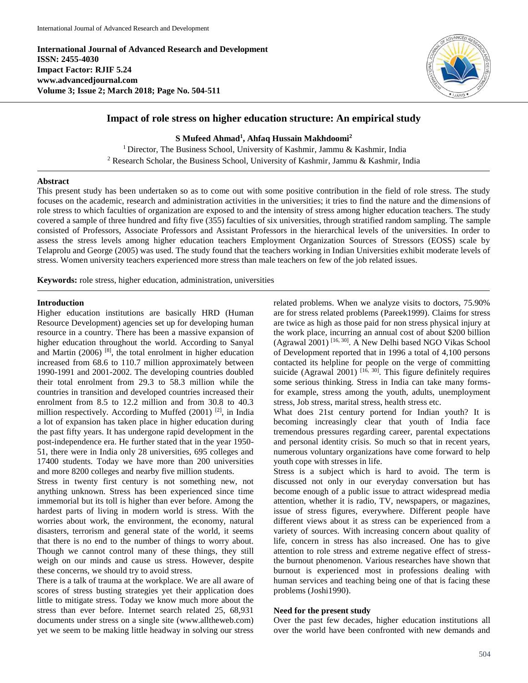**International Journal of Advanced Research and Development ISSN: 2455-4030 Impact Factor: RJIF 5.24 www.advancedjournal.com Volume 3; Issue 2; March 2018; Page No. 504-511**



# **Impact of role stress on higher education structure: An empirical study**

**S Mufeed Ahmad<sup>1</sup> , Ahfaq Hussain Makhdoomi<sup>2</sup>**

<sup>1</sup> Director, The Business School, University of Kashmir, Jammu & Kashmir, India <sup>2</sup> Research Scholar, the Business School, University of Kashmir, Jammu & Kashmir, India

#### **Abstract**

This present study has been undertaken so as to come out with some positive contribution in the field of role stress. The study focuses on the academic, research and administration activities in the universities; it tries to find the nature and the dimensions of role stress to which faculties of organization are exposed to and the intensity of stress among higher education teachers. The study covered a sample of three hundred and fifty five (355) faculties of six universities, through stratified random sampling. The sample consisted of Professors, Associate Professors and Assistant Professors in the hierarchical levels of the universities. In order to assess the stress levels among higher education teachers Employment Organization Sources of Stressors (EOSS) scale by Telaprolu and George (2005) was used. The study found that the teachers working in Indian Universities exhibit moderate levels of stress. Women university teachers experienced more stress than male teachers on few of the job related issues.

**Keywords:** role stress, higher education, administration, universities

#### **Introduction**

Higher education institutions are basically HRD (Human Resource Development) agencies set up for developing human resource in a country. There has been a massive expansion of higher education throughout the world. According to Sanyal and Martin  $(2006)$  [8], the total enrolment in higher education increased from 68.6 to 110.7 million approximately between 1990-1991 and 2001-2002. The developing countries doubled their total enrolment from 29.3 to 58.3 million while the countries in transition and developed countries increased their enrolment from 8.5 to 12.2 million and from 30.8 to 40.3 million respectively. According to Muffed  $(2001)$ <sup>[2]</sup>, in India a lot of expansion has taken place in higher education during the past fifty years. It has undergone rapid development in the post-independence era. He further stated that in the year 1950- 51, there were in India only 28 universities, 695 colleges and 17400 students. Today we have more than 200 universities and more 8200 colleges and nearby five million students.

Stress in twenty first century is not something new, not anything unknown. Stress has been experienced since time immemorial but its toll is higher than ever before. Among the hardest parts of living in modern world is stress. With the worries about work, the environment, the economy, natural disasters, terrorism and general state of the world, it seems that there is no end to the number of things to worry about. Though we cannot control many of these things, they still weigh on our minds and cause us stress. However, despite these concerns, we should try to avoid stress.

There is a talk of trauma at the workplace. We are all aware of scores of stress busting strategies yet their application does little to mitigate stress. Today we know much more about the stress than ever before. Internet search related 25, 68,931 documents under stress on a single site (www.alltheweb.com) yet we seem to be making little headway in solving our stress

related problems. When we analyze visits to doctors, 75.90% are for stress related problems (Pareek1999). Claims for stress are twice as high as those paid for non stress physical injury at the work place, incurring an annual cost of about \$200 billion (Agrawal 2001) [16, 30] . A New Delhi based NGO Vikas School of Development reported that in 1996 a total of 4,100 persons contacted its helpline for people on the verge of committing suicide (Agrawal 2001)  $[16, 30]$ . This figure definitely requires some serious thinking. Stress in India can take many formsfor example, stress among the youth, adults, unemployment stress, Job stress, marital stress, health stress etc.

What does 21st century portend for Indian youth? It is becoming increasingly clear that youth of India face tremendous pressures regarding career, parental expectations and personal identity crisis. So much so that in recent years, numerous voluntary organizations have come forward to help youth cope with stresses in life.

Stress is a subject which is hard to avoid. The term is discussed not only in our everyday conversation but has become enough of a public issue to attract widespread media attention, whether it is radio, TV, newspapers, or magazines, issue of stress figures, everywhere. Different people have different views about it as stress can be experienced from a variety of sources. With increasing concern about quality of life, concern in stress has also increased. One has to give attention to role stress and extreme negative effect of stressthe burnout phenomenon. Various researches have shown that burnout is experienced most in professions dealing with human services and teaching being one of that is facing these problems (Joshi1990).

### **Need for the present study**

Over the past few decades, higher education institutions all over the world have been confronted with new demands and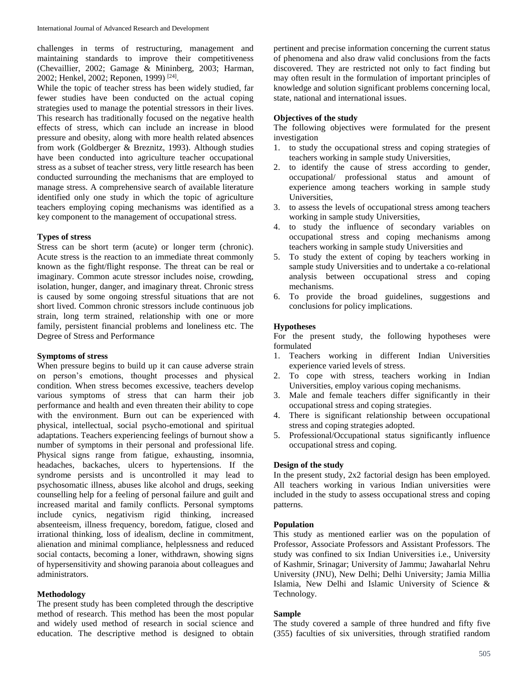challenges in terms of restructuring, management and maintaining standards to improve their competitiveness (Chevaillier, 2002; Gamage & Mininberg, 2003; Harman, 2002; Henkel, 2002; Reponen, 1999)<sup>[24]</sup>.

While the topic of teacher stress has been widely studied, far fewer studies have been conducted on the actual coping strategies used to manage the potential stressors in their lives. This research has traditionally focused on the negative health effects of stress, which can include an increase in blood pressure and obesity, along with more health related absences from work (Goldberger & Breznitz, 1993). Although studies have been conducted into agriculture teacher occupational stress as a subset of teacher stress, very little research has been conducted surrounding the mechanisms that are employed to manage stress. A comprehensive search of available literature identified only one study in which the topic of agriculture teachers employing coping mechanisms was identified as a key component to the management of occupational stress.

#### **Types of stress**

Stress can be short term (acute) or longer term (chronic). Acute stress is the reaction to an immediate threat commonly known as the fight/flight response. The threat can be real or imaginary. Common acute stressor includes noise, crowding, isolation, hunger, danger, and imaginary threat. Chronic stress is caused by some ongoing stressful situations that are not short lived. Common chronic stressors include continuous job strain, long term strained, relationship with one or more family, persistent financial problems and loneliness etc. The Degree of Stress and Performance

## **Symptoms of stress**

When pressure begins to build up it can cause adverse strain on person's emotions, thought processes and physical condition. When stress becomes excessive, teachers develop various symptoms of stress that can harm their job performance and health and even threaten their ability to cope with the environment. Burn out can be experienced with physical, intellectual, social psycho-emotional and spiritual adaptations. Teachers experiencing feelings of burnout show a number of symptoms in their personal and professional life. Physical signs range from fatigue, exhausting, insomnia, headaches, backaches, ulcers to hypertensions. If the syndrome persists and is uncontrolled it may lead to psychosomatic illness, abuses like alcohol and drugs, seeking counselling help for a feeling of personal failure and guilt and increased marital and family conflicts. Personal symptoms include cynics, negativism rigid thinking, increased absenteeism, illness frequency, boredom, fatigue, closed and irrational thinking, loss of idealism, decline in commitment, alienation and minimal compliance, helplessness and reduced social contacts, becoming a loner, withdrawn, showing signs of hypersensitivity and showing paranoia about colleagues and administrators.

## **Methodology**

The present study has been completed through the descriptive method of research. This method has been the most popular and widely used method of research in social science and education. The descriptive method is designed to obtain

pertinent and precise information concerning the current status of phenomena and also draw valid conclusions from the facts discovered. They are restricted not only to fact finding but may often result in the formulation of important principles of knowledge and solution significant problems concerning local, state, national and international issues.

### **Objectives of the study**

The following objectives were formulated for the present investigation

- 1. to study the occupational stress and coping strategies of teachers working in sample study Universities,
- 2. to identify the cause of stress according to gender, occupational/ professional status and amount of experience among teachers working in sample study Universities,
- 3. to assess the levels of occupational stress among teachers working in sample study Universities,
- 4. to study the influence of secondary variables on occupational stress and coping mechanisms among teachers working in sample study Universities and
- 5. To study the extent of coping by teachers working in sample study Universities and to undertake a co-relational analysis between occupational stress and coping mechanisms.
- 6. To provide the broad guidelines, suggestions and conclusions for policy implications.

#### **Hypotheses**

For the present study, the following hypotheses were formulated

- 1. Teachers working in different Indian Universities experience varied levels of stress.
- 2. To cope with stress, teachers working in Indian Universities, employ various coping mechanisms.
- 3. Male and female teachers differ significantly in their occupational stress and coping strategies.
- 4. There is significant relationship between occupational stress and coping strategies adopted.
- 5. Professional/Occupational status significantly influence occupational stress and coping.

## **Design of the study**

In the present study, 2x2 factorial design has been employed. All teachers working in various Indian universities were included in the study to assess occupational stress and coping patterns.

## **Population**

This study as mentioned earlier was on the population of Professor, Associate Professors and Assistant Professors. The study was confined to six Indian Universities i.e., University of Kashmir, Srinagar; University of Jammu; Jawaharlal Nehru University (JNU), New Delhi; Delhi University; Jamia Millia Islamia, New Delhi and Islamic University of Science & Technology.

## **Sample**

The study covered a sample of three hundred and fifty five (355) faculties of six universities, through stratified random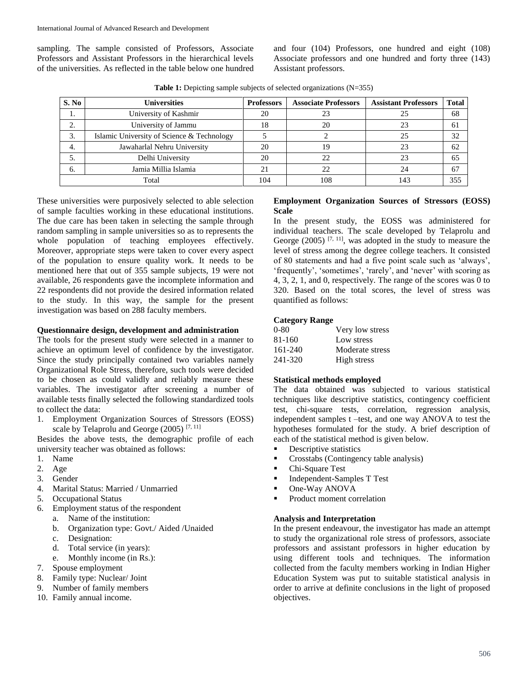sampling. The sample consisted of Professors, Associate Professors and Assistant Professors in the hierarchical levels of the universities. As reflected in the table below one hundred and four (104) Professors, one hundred and eight (108) Associate professors and one hundred and forty three (143) Assistant professors.

| S. No   | <b>Universities</b>                        | Professors | <b>Associate Professors</b> | <b>Assistant Professors</b> | <b>Total</b> |
|---------|--------------------------------------------|------------|-----------------------------|-----------------------------|--------------|
| 1.      | University of Kashmir                      | 20         | 23                          |                             | 68           |
| ◠<br>۷. | University of Jammu                        | 18         | 20                          |                             | 61           |
| 3.      | Islamic University of Science & Technology |            |                             | 25                          | 32           |
| 4.      | Jawaharlal Nehru University                | 20         | 19                          |                             | 62           |
|         | Delhi University                           | 20         | 22                          |                             | 65           |
| 6.      | Jamia Millia Islamia                       |            | 22                          |                             | 67           |
|         | Total                                      | 104        | 108                         | 143                         | 355          |

**Table 1:** Depicting sample subjects of selected organizations (N=355)

These universities were purposively selected to able selection of sample faculties working in these educational institutions. The due care has been taken in selecting the sample through random sampling in sample universities so as to represents the whole population of teaching employees effectively. Moreover, appropriate steps were taken to cover every aspect of the population to ensure quality work. It needs to be mentioned here that out of 355 sample subjects, 19 were not available, 26 respondents gave the incomplete information and 22 respondents did not provide the desired information related to the study. In this way, the sample for the present investigation was based on 288 faculty members.

## **Questionnaire design, development and administration**

The tools for the present study were selected in a manner to achieve an optimum level of confidence by the investigator. Since the study principally contained two variables namely Organizational Role Stress, therefore, such tools were decided to be chosen as could validly and reliably measure these variables. The investigator after screening a number of available tests finally selected the following standardized tools to collect the data:

1. Employment Organization Sources of Stressors (EOSS) scale by Telaprolu and George (2005)  $[7, 11]$ 

Besides the above tests, the demographic profile of each university teacher was obtained as follows:

- 1. Name
- 2. Age
- 3. Gender
- 4. Marital Status: Married / Unmarried
- 5. Occupational Status
- 6. Employment status of the respondent
	- a. Name of the institution:
	- b. Organization type: Govt./ Aided /Unaided
	- c. Designation:
	- d. Total service (in years):
	- e. Monthly income (in Rs.):
- 7. Spouse employment
- 8. Family type: Nuclear/ Joint
- 9. Number of family members
- 10. Family annual income.

## **Employment Organization Sources of Stressors (EOSS) Scale**

In the present study, the EOSS was administered for individual teachers. The scale developed by Telaprolu and George (2005)  $[7, 11]$ , was adopted in the study to measure the level of stress among the degree college teachers. It consisted of 80 statements and had a five point scale such as 'always', 'frequently', 'sometimes', 'rarely', and 'never' with scoring as 4, 3, 2, 1, and 0, respectively. The range of the scores was 0 to 320. Based on the total scores, the level of stress was quantified as follows:

## **Category Range**

| $0-80$  | Very low stress |
|---------|-----------------|
| 81-160  | Low stress      |
| 161-240 | Moderate stress |
| 241-320 | High stress     |

## **Statistical methods employed**

The data obtained was subjected to various statistical techniques like descriptive statistics, contingency coefficient test, chi-square tests, correlation, regression analysis, independent samples t –test, and one way ANOVA to test the hypotheses formulated for the study. A brief description of each of the statistical method is given below.

- **Descriptive statistics**
- **Crosstabs (Contingency table analysis)**
- Chi-Square Test
- **Independent-Samples T Test**
- One-Way ANOVA
- Product moment correlation

## **Analysis and Interpretation**

In the present endeavour, the investigator has made an attempt to study the organizational role stress of professors, associate professors and assistant professors in higher education by using different tools and techniques. The information collected from the faculty members working in Indian Higher Education System was put to suitable statistical analysis in order to arrive at definite conclusions in the light of proposed objectives.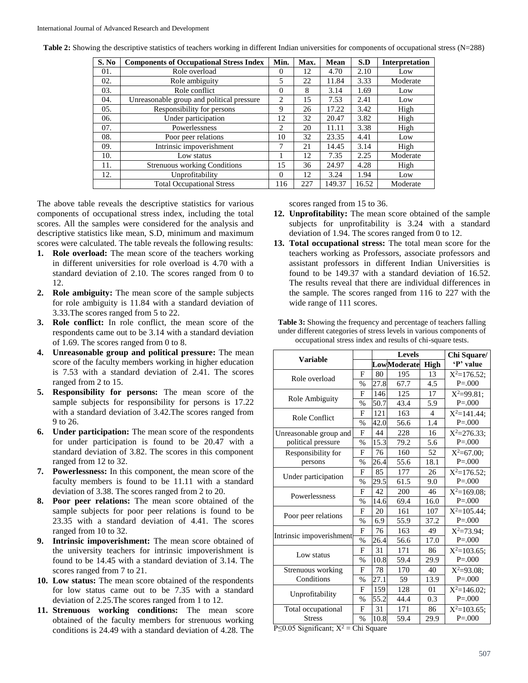| S. No | <b>Components of Occupational Stress Index</b> | Min.     | Max. | <b>Mean</b> | S.D   | <b>Interpretation</b> |
|-------|------------------------------------------------|----------|------|-------------|-------|-----------------------|
| 01.   | Role overload                                  | 0        | 12   | 4.70        | 2.10  | Low                   |
| 02.   | Role ambiguity                                 | 5        | 22   | 11.84       | 3.33  | Moderate              |
| 03.   | Role conflict                                  | $\Omega$ | 8    | 3.14        | 1.69  | Low                   |
| 04.   | Unreasonable group and political pressure      | 2        | 15   | 7.53        | 2.41  | Low                   |
| 05.   | Responsibility for persons                     | 9        | 26   | 17.22       | 3.42  | High                  |
| 06.   | Under participation                            | 12       | 32   | 20.47       | 3.82  | High                  |
| 07.   | Powerlessness                                  | 2        | 20   | 11.11       | 3.38  | High                  |
| 08.   | Poor peer relations                            | 10       | 32   | 23.35       | 4.41  | Low                   |
| 09.   | Intrinsic impoverishment                       | 7        | 21   | 14.45       | 3.14  | High                  |
| 10.   | Low status                                     |          | 12   | 7.35        | 2.25  | Moderate              |
| 11.   | <b>Strenuous working Conditions</b>            | 15       | 36   | 24.97       | 4.28  | High                  |
| 12.   | Unprofitability                                | $\Omega$ | 12   | 3.24        | 1.94  | Low                   |
|       | <b>Total Occupational Stress</b>               | 116      | 227  | 149.37      | 16.52 | Moderate              |

**Table 2:** Showing the descriptive statistics of teachers working in different Indian universities for components of occupational stress (N=288)

The above table reveals the descriptive statistics for various components of occupational stress index, including the total scores. All the samples were considered for the analysis and descriptive statistics like mean, S.D, minimum and maximum scores were calculated. The table reveals the following results:

- **1. Role overload:** The mean score of the teachers working in different universities for role overload is 4.70 with a standard deviation of 2.10. The scores ranged from 0 to 12.
- **2. Role ambiguity:** The mean score of the sample subjects for role ambiguity is 11.84 with a standard deviation of 3.33.The scores ranged from 5 to 22.
- **3. Role conflict:** In role conflict, the mean score of the respondents came out to be 3.14 with a standard deviation of 1.69. The scores ranged from 0 to 8.
- **4. Unreasonable group and political pressure:** The mean score of the faculty members working in higher education is 7.53 with a standard deviation of 2.41. The scores ranged from 2 to 15.
- **5. Responsibility for persons:** The mean score of the sample subjects for responsibility for persons is 17.22 with a standard deviation of 3.42.The scores ranged from 9 to 26.
- **6. Under participation:** The mean score of the respondents for under participation is found to be 20.47 with a standard deviation of 3.82. The scores in this component ranged from 12 to 32.
- **7. Powerlessness:** In this component, the mean score of the faculty members is found to be 11.11 with a standard deviation of 3.38. The scores ranged from 2 to 20.
- **8. Poor peer relations:** The mean score obtained of the sample subjects for poor peer relations is found to be 23.35 with a standard deviation of 4.41. The scores ranged from 10 to 32.
- **9. Intrinsic impoverishment:** The mean score obtained of the university teachers for intrinsic impoverishment is found to be 14.45 with a standard deviation of 3.14. The scores ranged from 7 to 21.
- **10. Low status:** The mean score obtained of the respondents for low status came out to be 7.35 with a standard deviation of 2.25.The scores ranged from 1 to 12.
- **11. Strenuous working conditions:** The mean score obtained of the faculty members for strenuous working conditions is 24.49 with a standard deviation of 4.28. The

scores ranged from 15 to 36.

- **12. Unprofitability:** The mean score obtained of the sample subjects for unprofitability is 3.24 with a standard deviation of 1.94. The scores ranged from 0 to 12.
- **13. Total occupational stress:** The total mean score for the teachers working as Professors, associate professors and assistant professors in different Indian Universities is found to be 149.37 with a standard deviation of 16.52. The results reveal that there are individual differences in the sample. The scores ranged from 116 to 227 with the wide range of 111 scores.

Table 3: Showing the frequency and percentage of teachers falling under different categories of stress levels in various components of occupational stress index and results of chi-square tests.

| <b>Variable</b>                           |               |      | <b>Levels</b>      | Chi Square/ |                 |
|-------------------------------------------|---------------|------|--------------------|-------------|-----------------|
|                                           |               |      | <b>LowModerate</b> | <b>High</b> | 'P' value       |
| Role overload                             | F             | 80   | 195                | 13          | $X^2=176.52$ :  |
|                                           | %             | 27.8 | 67.7               | 4.5         | $P = 0.000$     |
| Role Ambiguity                            | F             | 146  | 125                | 17          | $X^2 = 99.81$ ; |
|                                           | $\%$          | 50.7 | 43.4               | 5.9         | $P = 0.000$     |
| Role Conflict                             | F             | 121  | 163                | 4           | $X^2=141.44$ :  |
|                                           | $\frac{0}{0}$ | 42.0 | 56.6               | 1.4         | $P = 0.000$     |
| Unreasonable group and                    | F             | 44   | 228                | 16          | $X^2 = 276.33$  |
| political pressure                        | %             | 15.3 | 79.2               | 5.6         | $P = 0.000$     |
| Responsibility for                        | F             | 76   | 160                | 52          | $X^2=67.00$ ;   |
| persons                                   | $\%$          | 26.4 | 55.6               | 18.1        | $P = 0.000$     |
| Under participation                       | F             | 85   | 177                | 26          | $X^2=176.52$ ;  |
|                                           | $\%$          | 29.5 | 61.5               | 9.0         | $P = 0.000$     |
| Powerlessness                             | F             | 42   | 200                | 46          | $X^2=169.08$    |
|                                           | %             | 14.6 | 69.4               | 16.0        | $P = 0.000$     |
| Poor peer relations                       | F             | 20   | 161                | 107         | $X^2=105.44$ :  |
|                                           | %             | 6.9  | 55.9               | 37.2        | $P = 0.000$     |
| Intrinsic impoverishment                  | $\mathbf{F}$  | 76   | 163                | 49          | $X^2 = 73.94$ : |
|                                           | $\%$          | 26.4 | 56.6               | 17.0        | $P = 0.000$     |
| Low status                                | F             | 31   | 171                | 86          | $X^2=103.65$ ;  |
|                                           | %             | 10.8 | 59.4               | 29.9        | $P = 0.000$     |
| Strenuous working                         | F             | 78   | 170                | 40          | $X^2=93.08$ :   |
| Conditions                                | $\%$          | 27.1 | 59                 | 13.9        | $P = 0.000$     |
|                                           | F             | 159  | 128                | 01          | $X^2=146.02$ :  |
| Unprofitability                           | %             | 55.2 | 44.4               | 0.3         | $P = 0.000$     |
| Total occupational                        | F             | 31   | 171                | 86          | $X^2=103.65$ :  |
| <b>Stress</b><br>$\overline{\phantom{a}}$ | %             | 10.8 | 59.4               | 29.9        | $P = 000$       |

P≤0.05 Significant;  $X^2$  = Chi Square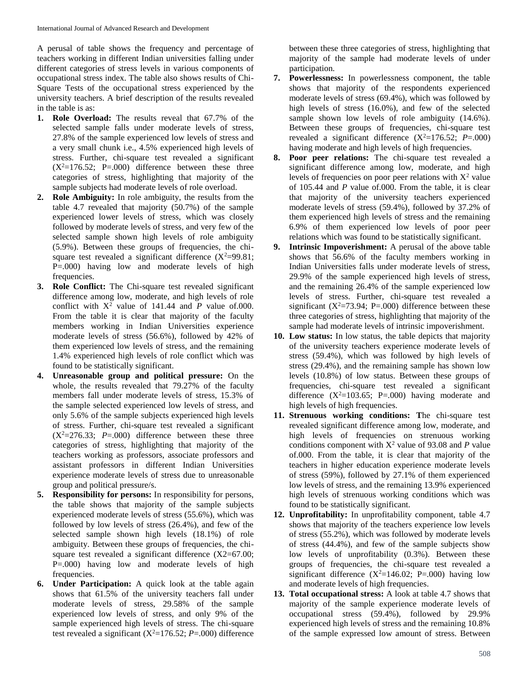A perusal of table shows the frequency and percentage of teachers working in different Indian universities falling under different categories of stress levels in various components of occupational stress index. The table also shows results of Chi-Square Tests of the occupational stress experienced by the university teachers. A brief description of the results revealed in the table is as:

- **1. Role Overload:** The results reveal that 67.7% of the selected sample falls under moderate levels of stress, 27.8% of the sample experienced low levels of stress and a very small chunk i.e., 4.5% experienced high levels of stress. Further, chi-square test revealed a significant  $(X^2=176.52; P=.000)$  difference between these three categories of stress, highlighting that majority of the sample subjects had moderate levels of role overload.
- **2. Role Ambiguity:** In role ambiguity, the results from the table 4.7 revealed that majority (50.7%) of the sample experienced lower levels of stress, which was closely followed by moderate levels of stress, and very few of the selected sample shown high levels of role ambiguity (5.9%). Between these groups of frequencies, the chisquare test revealed a significant difference  $(X^2=99.81)$ ; P=.000) having low and moderate levels of high frequencies.
- **3. Role Conflict:** The Chi-square test revealed significant difference among low, moderate, and high levels of role conflict with  $X^2$  value of 141.44 and *P* value of.000. From the table it is clear that majority of the faculty members working in Indian Universities experience moderate levels of stress (56.6%), followed by 42% of them experienced low levels of stress, and the remaining 1.4% experienced high levels of role conflict which was found to be statistically significant.
- **4. Unreasonable group and political pressure:** On the whole, the results revealed that 79.27% of the faculty members fall under moderate levels of stress, 15.3% of the sample selected experienced low levels of stress, and only 5.6% of the sample subjects experienced high levels of stress. Further, chi-square test revealed a significant  $(X^2=276.33; P=.000)$  difference between these three categories of stress, highlighting that majority of the teachers working as professors, associate professors and assistant professors in different Indian Universities experience moderate levels of stress due to unreasonable group and political pressure/s.
- **5. Responsibility for persons:** In responsibility for persons, the table shows that majority of the sample subjects experienced moderate levels of stress (55.6%), which was followed by low levels of stress (26.4%), and few of the selected sample shown high levels (18.1%) of role ambiguity. Between these groups of frequencies, the chisquare test revealed a significant difference (X2=67.00; P=.000) having low and moderate levels of high frequencies.
- **6. Under Participation:** A quick look at the table again shows that 61.5% of the university teachers fall under moderate levels of stress, 29.58% of the sample experienced low levels of stress, and only 9% of the sample experienced high levels of stress. The chi-square test revealed a significant  $(X^2=176.52; P=.000)$  difference

between these three categories of stress, highlighting that majority of the sample had moderate levels of under participation.

- **7. Powerlessness:** In powerlessness component, the table shows that majority of the respondents experienced moderate levels of stress (69.4%), which was followed by high levels of stress (16.0%), and few of the selected sample shown low levels of role ambiguity (14.6%). Between these groups of frequencies, chi-square test revealed a significant difference  $(X^2=176.52; P=.000)$ having moderate and high levels of high frequencies.
- **8. Poor peer relations:** The chi-square test revealed a significant difference among low, moderate, and high levels of frequencies on poor peer relations with  $X^2$  value of 105.44 and *P* value of.000. From the table, it is clear that majority of the university teachers experienced moderate levels of stress (59.4%), followed by 37.2% of them experienced high levels of stress and the remaining 6.9% of them experienced low levels of poor peer relations which was found to be statistically significant.
- **9. Intrinsic Impoverishment:** A perusal of the above table shows that 56.6% of the faculty members working in Indian Universities falls under moderate levels of stress, 29.9% of the sample experienced high levels of stress, and the remaining 26.4% of the sample experienced low levels of stress. Further, chi-square test revealed a significant ( $X^2 = 73.94$ ; P=.000) difference between these three categories of stress, highlighting that majority of the sample had moderate levels of intrinsic impoverishment.
- **10. Low status:** In low status, the table depicts that majority of the university teachers experience moderate levels of stress (59.4%), which was followed by high levels of stress (29.4%), and the remaining sample has shown low levels (10.8%) of low status. Between these groups of frequencies, chi-square test revealed a significant difference  $(X^2=103.65; P=.000)$  having moderate and high levels of high frequencies.
- **11. Strenuous working conditions: T**he chi-square test revealed significant difference among low, moderate, and high levels of frequencies on strenuous working conditions component with  $X^2$  value of 93.08 and *P* value of.000. From the table, it is clear that majority of the teachers in higher education experience moderate levels of stress (59%), followed by 27.1% of them experienced low levels of stress, and the remaining 13.9% experienced high levels of strenuous working conditions which was found to be statistically significant.
- **12. Unprofitability:** In unprofitability component, table 4.7 shows that majority of the teachers experience low levels of stress (55.2%), which was followed by moderate levels of stress (44.4%), and few of the sample subjects show low levels of unprofitability (0.3%). Between these groups of frequencies, the chi-square test revealed a significant difference  $(X^2=146.02; P=.000)$  having low and moderate levels of high frequencies.
- **13. Total occupational stress:** A look at table 4.7 shows that majority of the sample experience moderate levels of occupational stress (59.4%), followed by 29.9% experienced high levels of stress and the remaining 10.8% of the sample expressed low amount of stress. Between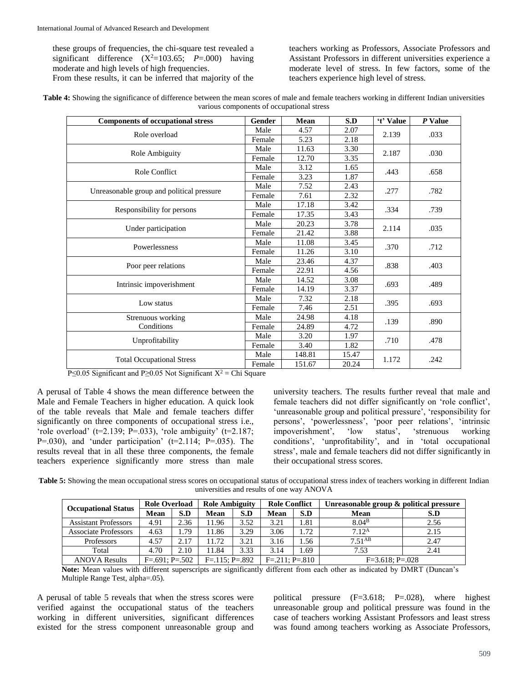these groups of frequencies, the chi-square test revealed a significant difference  $(X^2=103.65; P=.000)$  having moderate and high levels of high frequencies. From these results, it can be inferred that majority of the

teachers working as Professors, Associate Professors and Assistant Professors in different universities experience a moderate level of stress. In few factors, some of the teachers experience high level of stress.

| Table 4: Showing the significance of difference between the mean scores of male and female teachers working in different Indian universities |
|----------------------------------------------------------------------------------------------------------------------------------------------|
| various components of occupational stress                                                                                                    |

| <b>Components of occupational stress</b>  | Gender | Mean   | S.D   | 't' Value | P Value |
|-------------------------------------------|--------|--------|-------|-----------|---------|
| Role overload                             | Male   | 4.57   | 2.07  | 2.139     | .033    |
|                                           | Female | 5.23   | 2.18  |           |         |
|                                           | Male   | 11.63  | 3.30  | 2.187     | .030    |
| Role Ambiguity                            | Female | 12.70  | 3.35  |           |         |
| Role Conflict                             | Male   | 3.12   | 1.65  | .443      |         |
|                                           | Female | 3.23   | 1.87  |           | .658    |
|                                           | Male   | 7.52   | 2.43  | .277      | .782    |
| Unreasonable group and political pressure | Female | 7.61   | 2.32  |           |         |
|                                           | Male   | 17.18  | 3.42  | .334      | .739    |
| Responsibility for persons                | Female | 17.35  | 3.43  |           |         |
|                                           | Male   | 20.23  | 3.78  | 2.114     | .035    |
| Under participation                       | Female | 21.42  | 3.88  |           |         |
| Powerlessness                             | Male   | 11.08  | 3.45  | .370      | .712    |
|                                           | Female | 11.26  | 3.10  |           |         |
|                                           | Male   | 23.46  | 4.37  | .838      | .403    |
| Poor peer relations                       | Female | 22.91  | 4.56  |           |         |
|                                           | Male   | 14.52  | 3.08  | .693      | .489    |
| Intrinsic impoverishment                  | Female | 14.19  | 3.37  |           |         |
| Low status                                | Male   | 7.32   | 2.18  | .395      | .693    |
|                                           | Female | 7.46   | 2.51  |           |         |
| Strenuous working                         | Male   | 24.98  | 4.18  | .139      | .890    |
| Conditions                                | Female | 24.89  | 4.72  |           |         |
|                                           | Male   | 3.20   | 1.97  | .710      | .478    |
| Unprofitability                           | Female | 3.40   | 1.82  |           |         |
| <b>Total Occupational Stress</b>          | Male   | 148.81 | 15.47 | 1.172     | .242    |
|                                           | Female | 151.67 | 20.24 |           |         |

P≤0.05 Significant and P≥0.05 Not Significant  $X^2$  = Chi Square

A perusal of Table 4 shows the mean difference between the Male and Female Teachers in higher education. A quick look of the table reveals that Male and female teachers differ significantly on three components of occupational stress i.e., 'role overload' ( $t=2.139$ ;  $\overline{P}$ =.033), 'role ambiguity' ( $t=2.187$ ;  $P=030$ ), and 'under participation' ( $t=2.114$ ;  $P=.035$ ). The results reveal that in all these three components, the female teachers experience significantly more stress than male university teachers. The results further reveal that male and female teachers did not differ significantly on 'role conflict', 'unreasonable group and political pressure', 'responsibility for persons', 'powerlessness', 'poor peer relations', 'intrinsic impoverishment', 'low status', 'strenuous working conditions', 'unprofitability', and in 'total occupational stress', male and female teachers did not differ significantly in their occupational stress scores.

Table 5: Showing the mean occupational stress scores on occupational status of occupational stress index of teachers working in different Indian universities and results of one way ANOVA

|                             | <b>Role Overload</b>                 |      | <b>Role Ambiguity</b> |      | <b>Role Conflict</b> |                   | Unreasonable group & political pressure |      |  |
|-----------------------------|--------------------------------------|------|-----------------------|------|----------------------|-------------------|-----------------------------------------|------|--|
| <b>Occupational Status</b>  | Mean                                 | S.D  | Mean                  | S.D  | <b>Mean</b>          | S.D               | Mean                                    | S.D  |  |
| <b>Assistant Professors</b> | 4.91                                 | 2.36 | 11.96                 | 3.52 | 3.21                 | 1.81              | 8.04 <sup>B</sup>                       | 2.56 |  |
| <b>Associate Professors</b> | 4.63                                 | l.79 | 11.86                 | 3.29 | 3.06                 | 72                | 7.12 <sup>A</sup>                       | 2.15 |  |
| Professors                  | 4.57                                 | 2.17 | 11.72                 | 3.21 | 3.16                 | . . 56            | $7.51^{AB}$                             | 2.47 |  |
| Total                       | 4.70                                 | 2.10 | 11.84                 | 3.33 | 3.14                 | . .69             | 7.53                                    | 2.41 |  |
| <b>ANOVA Results</b>        | $F=.691: P=.502$<br>$F=.115: P=.892$ |      | $F = 211$ : $P = 810$ |      |                      | $F=3.618; P=.028$ |                                         |      |  |

**Note:** Mean values with different superscripts are significantly different from each other as indicated by DMRT (Duncan's Multiple Range Test, alpha=.05).

A perusal of table 5 reveals that when the stress scores were verified against the occupational status of the teachers working in different universities, significant differences existed for the stress component unreasonable group and

political pressure (F=3.618; P=.028), where highest unreasonable group and political pressure was found in the case of teachers working Assistant Professors and least stress was found among teachers working as Associate Professors,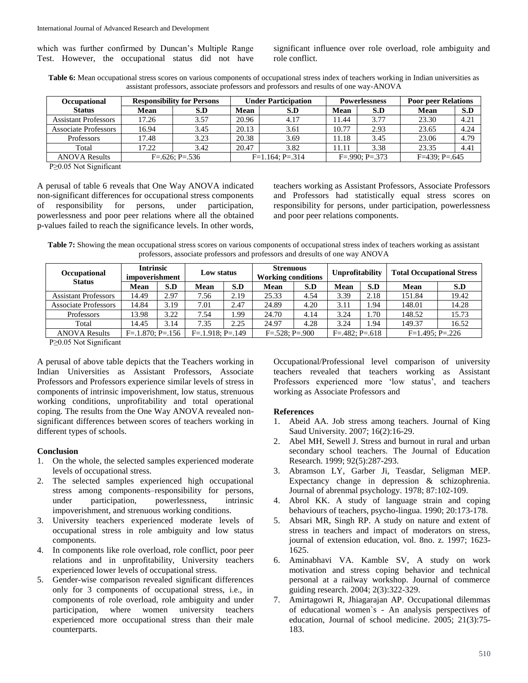which was further confirmed by Duncan's Multiple Range Test. However, the occupational status did not have

significant influence over role overload, role ambiguity and role conflict.

**Table 6:** Mean occupational stress scores on various components of occupational stress index of teachers working in Indian universities as assistant professors, associate professors and professors and results of one way-ANOVA

| Occupational                  | <b>Responsibility for Persons</b> |                  |                      | <b>Under Participation</b> |                         | <b>Powerlessness</b> | <b>Poor peer Relations</b> |      |
|-------------------------------|-----------------------------------|------------------|----------------------|----------------------------|-------------------------|----------------------|----------------------------|------|
| <b>Status</b>                 | Mean                              | S.D              | Mean                 | S.D                        | Mean                    | S.D                  | Mean                       | S.D  |
| <b>Assistant Professors</b>   | 17.26                             | 3.57             | 20.96                | 4.17                       | 1.44                    | 3.77                 | 23.30                      | 4.21 |
| Associate Professors          | 16.94                             | 3.45             | 20.13                | 3.61                       | 10.77                   | 2.93                 | 23.65                      | 4.24 |
| <b>Professors</b>             | 17.48                             | 3.23             | 20.38                | 3.69                       | 11.18                   | 3.45                 | 23.06                      | 4.79 |
| Total                         | 17.22                             | 3.42             | 20.47                | 3.82                       | ! 1.11                  | 3.38                 | 23.35                      | 4.41 |
| <b>ANOVA Results</b>          |                                   | $F=.626: P=.536$ | $F=1.164$ : $P=.314$ |                            | $F = .990$ : $P = .373$ |                      | $F=439; P=.645$            |      |
| $P_1$ , $Q_2$ , $Q_3$ , $Q_1$ |                                   |                  |                      |                            |                         |                      |                            |      |

P≥0.05 Not Significant

A perusal of table 6 reveals that One Way ANOVA indicated non-significant differences for occupational stress components of responsibility for persons, under participation, powerlessness and poor peer relations where all the obtained p-values failed to reach the significance levels. In other words, teachers working as Assistant Professors, Associate Professors and Professors had statistically equal stress scores on responsibility for persons, under participation, powerlessness and poor peer relations components.

Table 7: Showing the mean occupational stress scores on various components of occupational stress index of teachers working as assistant professors, associate professors and professors and dresults of one way ANOVA

| Occupational<br><b>Status</b> | <b>Intrinsic</b><br>impoverishment |                    | Low status  |                       | Strenuous<br><b>Working conditions</b> |                           | <b>Unprofitability</b> |                   | <b>Total Occupational Stress</b> |       |
|-------------------------------|------------------------------------|--------------------|-------------|-----------------------|----------------------------------------|---------------------------|------------------------|-------------------|----------------------------------|-------|
|                               | Mean                               | S.D                | <b>Mean</b> | S.D                   | <b>Mean</b>                            | S.D                       | Mean                   | S.D               | <b>Mean</b>                      | S.D   |
| <b>Assistant Professors</b>   | 14.49                              | 2.97               | 7.56        | 2.19                  | 25.33                                  | 4.54                      | 3.39                   | 2.18              | 151.84                           | 19.42 |
| <b>Associate Professors</b>   | 14.84                              | 3.19               | 7.01        | 2.47                  | 24.89                                  | 4.20                      | 3.11                   | 1.94              | 148.01                           | 14.28 |
| Professors                    | 13.98                              | 3.22               | 7.54        | 1.99                  | 24.70                                  | 4.14                      | 3.24                   | 1.70              | 148.52                           | 15.73 |
| Total                         | 14.45                              | 3.14               | 7.35        | 2.25                  | 24.97                                  | 4.28                      | 3.24                   | 1.94              | 149.37                           | 16.52 |
| <b>ANOVA Results</b>          | $F = 1.870$ ; $P = 156$            | $F=.1.918; P=.149$ |             | $F = 528$ ; $P = 900$ |                                        | $F = 0.482$ ; $P = 0.618$ |                        | $F=1.495; P=.226$ |                                  |       |

P≥0.05 Not Significant

A perusal of above table depicts that the Teachers working in Indian Universities as Assistant Professors, Associate Professors and Professors experience similar levels of stress in components of intrinsic impoverishment, low status, strenuous working conditions, unprofitability and total operational coping. The results from the One Way ANOVA revealed nonsignificant differences between scores of teachers working in different types of schools.

#### **Conclusion**

- 1. On the whole, the selected samples experienced moderate levels of occupational stress.
- 2. The selected samples experienced high occupational stress among components–responsibility for persons, under participation, powerlessness, intrinsic impoverishment, and strenuous working conditions.
- 3. University teachers experienced moderate levels of occupational stress in role ambiguity and low status components.
- 4. In components like role overload, role conflict, poor peer relations and in unprofitability, University teachers experienced lower levels of occupational stress.
- 5. Gender-wise comparison revealed significant differences only for 3 components of occupational stress, i.e., in components of role overload, role ambiguity and under participation, where women university teachers experienced more occupational stress than their male counterparts.

Occupational/Professional level comparison of university teachers revealed that teachers working as Assistant Professors experienced more 'low status', and teachers working as Associate Professors and

## **References**

- 1. Abeid AA. Job stress among teachers. Journal of King Saud University. 2007; 16(2):16-29.
- 2. Abel MH, Sewell J. Stress and burnout in rural and urban secondary school teachers. The Journal of Education Research. 1999; 92(5):287-293.
- 3. Abramson LY, Garber Ji, Teasdar, Seligman MEP. Expectancy change in depression & schizophrenia. Journal of abrenmal psychology. 1978; 87:102-109.
- 4. Abrol KK. A study of language strain and coping behaviours of teachers, psycho-lingua. 1990; 20:173-178.
- 5. Absari MR, Singh RP. A study on nature and extent of stress in teachers and impact of moderators on stress, journal of extension education, vol. 8no. z. 1997; 1623- 1625.
- 6. Aminabhavi VA. Kamble SV, A study on work motivation and stress coping behavior and technical personal at a railway workshop. Journal of commerce guiding research. 2004; 2(3):322-329.
- 7. Amirtagowri R, Jhiagarajan AP. Occupational dilemmas of educational women`s - An analysis perspectives of education, Journal of school medicine. 2005; 21(3):75- 183.